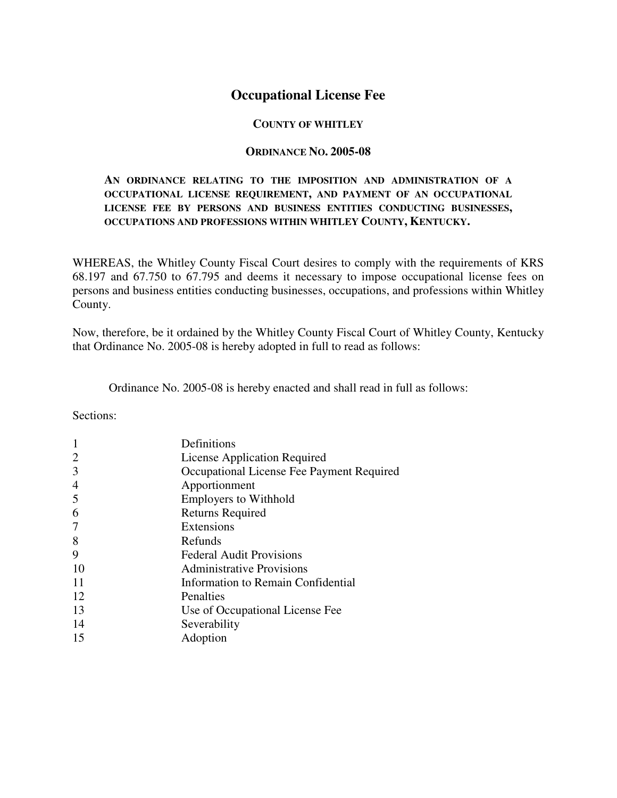## **Occupational License Fee**

#### **COUNTY OF WHITLEY**

#### **ORDINANCE NO. 2005-08**

#### **AN ORDINANCE RELATING TO THE IMPOSITION AND ADMINISTRATION OF A OCCUPATIONAL LICENSE REQUIREMENT, AND PAYMENT OF AN OCCUPATIONAL LICENSE FEE BY PERSONS AND BUSINESS ENTITIES CONDUCTING BUSINESSES, OCCUPATIONS AND PROFESSIONS WITHIN WHITLEY COUNTY, KENTUCKY.**

WHEREAS, the Whitley County Fiscal Court desires to comply with the requirements of KRS 68.197 and 67.750 to 67.795 and deems it necessary to impose occupational license fees on persons and business entities conducting businesses, occupations, and professions within Whitley County.

Now, therefore, be it ordained by the Whitley County Fiscal Court of Whitley County, Kentucky that Ordinance No. 2005-08 is hereby adopted in full to read as follows:

Ordinance No. 2005-08 is hereby enacted and shall read in full as follows:

Sections:

|    | Definitions                               |
|----|-------------------------------------------|
| 2  | License Application Required              |
| 3  | Occupational License Fee Payment Required |
| 4  | Apportionment                             |
| 5  | <b>Employers to Withhold</b>              |
| 6  | <b>Returns Required</b>                   |
|    | Extensions                                |
| 8  | Refunds                                   |
| 9  | <b>Federal Audit Provisions</b>           |
| 10 | <b>Administrative Provisions</b>          |
| 11 | Information to Remain Confidential        |
| 12 | Penalties                                 |
| 13 | Use of Occupational License Fee           |
| 14 | Severability                              |
| 15 | Adoption                                  |
|    |                                           |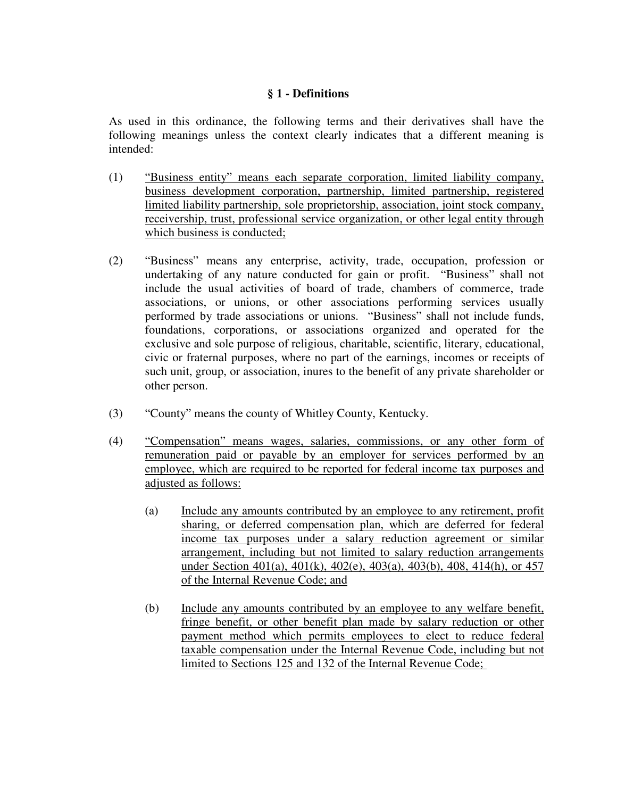#### **§ 1 - Definitions**

As used in this ordinance, the following terms and their derivatives shall have the following meanings unless the context clearly indicates that a different meaning is intended:

- (1)"Business entity" means each separate corporation, limited liability company, business development corporation, partnership, limited partnership, registered limited liability partnership, sole proprietorship, association, joint stock company, receivership, trust, professional service organization, or other legal entity through which business is conducted;
- (2) "Business" means any enterprise, activity, trade, occupation, profession or undertaking of any nature conducted for gain or profit. "Business" shall not include the usual activities of board of trade, chambers of commerce, trade associations, or unions, or other associations performing services usually performed by trade associations or unions. "Business" shall not include funds, foundations, corporations, or associations organized and operated for the exclusive and sole purpose of religious, charitable, scientific, literary, educational, civic or fraternal purposes, where no part of the earnings, incomes or receipts of such unit, group, or association, inures to the benefit of any private shareholder or other person.
- (3) "County" means the county of Whitley County, Kentucky.
- (4) "Compensation" means wages, salaries, commissions, or any other form of remuneration paid or payable by an employer for services performed by an employee, which are required to be reported for federal income tax purposes and adjusted as follows:
	- (a) Include any amounts contributed by an employee to any retirement, profit sharing, or deferred compensation plan, which are deferred for federal income tax purposes under a salary reduction agreement or similar arrangement, including but not limited to salary reduction arrangements under Section 401(a), 401(k), 402(e), 403(a), 403(b), 408, 414(h), or 457 of the Internal Revenue Code; and
	- (b) Include any amounts contributed by an employee to any welfare benefit, fringe benefit, or other benefit plan made by salary reduction or other payment method which permits employees to elect to reduce federal taxable compensation under the Internal Revenue Code, including but not limited to Sections 125 and 132 of the Internal Revenue Code;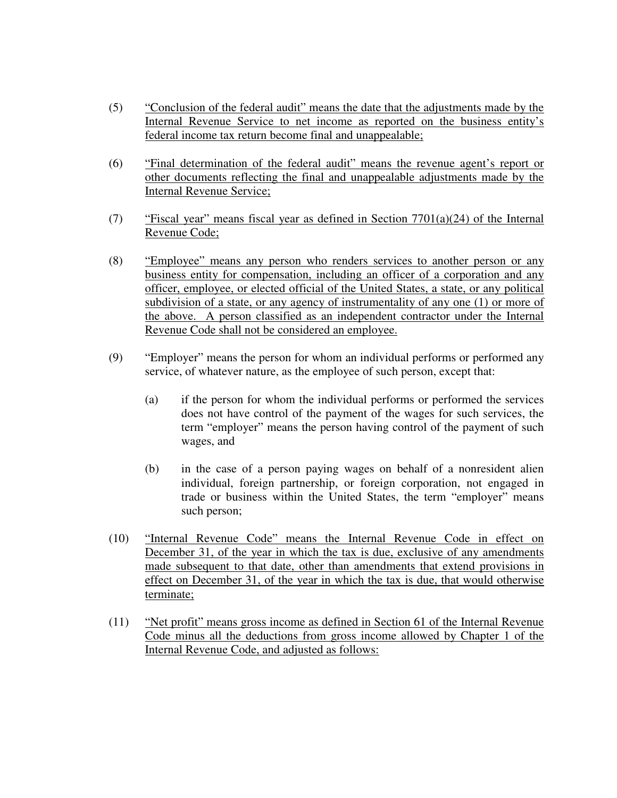- (5) "Conclusion of the federal audit" means the date that the adjustments made by the Internal Revenue Service to net income as reported on the business entity's federal income tax return become final and unappealable;
- (6) "Final determination of the federal audit" means the revenue agent's report or other documents reflecting the final and unappealable adjustments made by the Internal Revenue Service;
- (7) "Fiscal year" means fiscal year as defined in Section 7701(a)(24) of the Internal Revenue Code;
- (8) "Employee" means any person who renders services to another person or any business entity for compensation, including an officer of a corporation and any officer, employee, or elected official of the United States, a state, or any political subdivision of a state, or any agency of instrumentality of any one (1) or more of the above. A person classified as an independent contractor under the Internal Revenue Code shall not be considered an employee.
- (9) "Employer" means the person for whom an individual performs or performed any service, of whatever nature, as the employee of such person, except that:
	- (a) if the person for whom the individual performs or performed the services does not have control of the payment of the wages for such services, the term "employer" means the person having control of the payment of such wages, and
	- (b) in the case of a person paying wages on behalf of a nonresident alien individual, foreign partnership, or foreign corporation, not engaged in trade or business within the United States, the term "employer" means such person;
- (10) "Internal Revenue Code" means the Internal Revenue Code in effect on December 31, of the year in which the tax is due, exclusive of any amendments made subsequent to that date, other than amendments that extend provisions in effect on December 31, of the year in which the tax is due, that would otherwise terminate;
- (11) "Net profit" means gross income as defined in Section 61 of the Internal Revenue Code minus all the deductions from gross income allowed by Chapter 1 of the Internal Revenue Code, and adjusted as follows: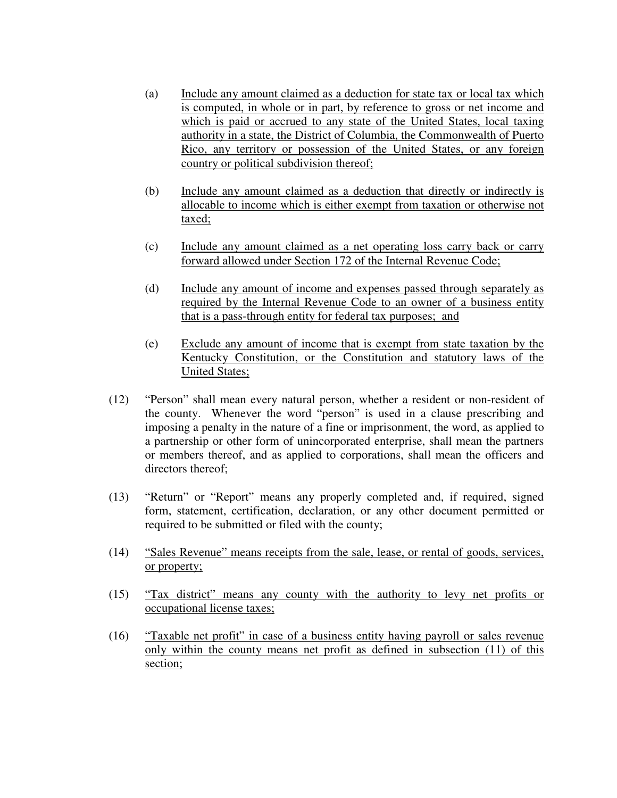- (a) Include any amount claimed as a deduction for state tax or local tax which is computed, in whole or in part, by reference to gross or net income and which is paid or accrued to any state of the United States, local taxing authority in a state, the District of Columbia, the Commonwealth of Puerto Rico, any territory or possession of the United States, or any foreign country or political subdivision thereof;
- (b) Include any amount claimed as a deduction that directly or indirectly is allocable to income which is either exempt from taxation or otherwise not taxed;
- (c) Include any amount claimed as a net operating loss carry back or carry forward allowed under Section 172 of the Internal Revenue Code;
- (d) Include any amount of income and expenses passed through separately as required by the Internal Revenue Code to an owner of a business entity that is a pass-through entity for federal tax purposes; and
- (e) Exclude any amount of income that is exempt from state taxation by the Kentucky Constitution, or the Constitution and statutory laws of the United States;
- (12) "Person" shall mean every natural person, whether a resident or non-resident of the county. Whenever the word "person" is used in a clause prescribing and imposing a penalty in the nature of a fine or imprisonment, the word, as applied to a partnership or other form of unincorporated enterprise, shall mean the partners or members thereof, and as applied to corporations, shall mean the officers and directors thereof;
- (13) "Return" or "Report" means any properly completed and, if required, signed form, statement, certification, declaration, or any other document permitted or required to be submitted or filed with the county;
- (14) "Sales Revenue" means receipts from the sale, lease, or rental of goods, services, or property;
- (15) "Tax district" means any county with the authority to levy net profits or occupational license taxes;
- (16) "Taxable net profit" in case of a business entity having payroll or sales revenue only within the county means net profit as defined in subsection (11) of this section;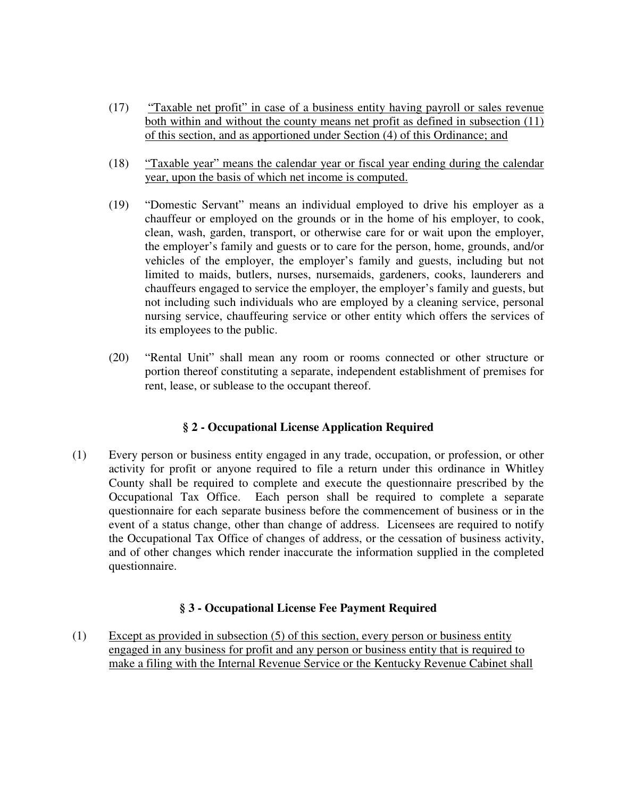- (17) "Taxable net profit" in case of a business entity having payroll or sales revenue both within and without the county means net profit as defined in subsection (11) of this section, and as apportioned under Section (4) of this Ordinance; and
- (18) "Taxable year" means the calendar year or fiscal year ending during the calendar year, upon the basis of which net income is computed.
- (19) "Domestic Servant" means an individual employed to drive his employer as a chauffeur or employed on the grounds or in the home of his employer, to cook, clean, wash, garden, transport, or otherwise care for or wait upon the employer, the employer's family and guests or to care for the person, home, grounds, and/or vehicles of the employer, the employer's family and guests, including but not limited to maids, butlers, nurses, nursemaids, gardeners, cooks, launderers and chauffeurs engaged to service the employer, the employer's family and guests, but not including such individuals who are employed by a cleaning service, personal nursing service, chauffeuring service or other entity which offers the services of its employees to the public.
- (20) "Rental Unit" shall mean any room or rooms connected or other structure or portion thereof constituting a separate, independent establishment of premises for rent, lease, or sublease to the occupant thereof.

## **§ 2 - Occupational License Application Required**

(1) Every person or business entity engaged in any trade, occupation, or profession, or other activity for profit or anyone required to file a return under this ordinance in Whitley County shall be required to complete and execute the questionnaire prescribed by the Occupational Tax Office. Each person shall be required to complete a separate questionnaire for each separate business before the commencement of business or in the event of a status change, other than change of address. Licensees are required to notify the Occupational Tax Office of changes of address, or the cessation of business activity, and of other changes which render inaccurate the information supplied in the completed questionnaire.

## **§ 3 - Occupational License Fee Payment Required**

(1) Except as provided in subsection (5) of this section, every person or business entity engaged in any business for profit and any person or business entity that is required to make a filing with the Internal Revenue Service or the Kentucky Revenue Cabinet shall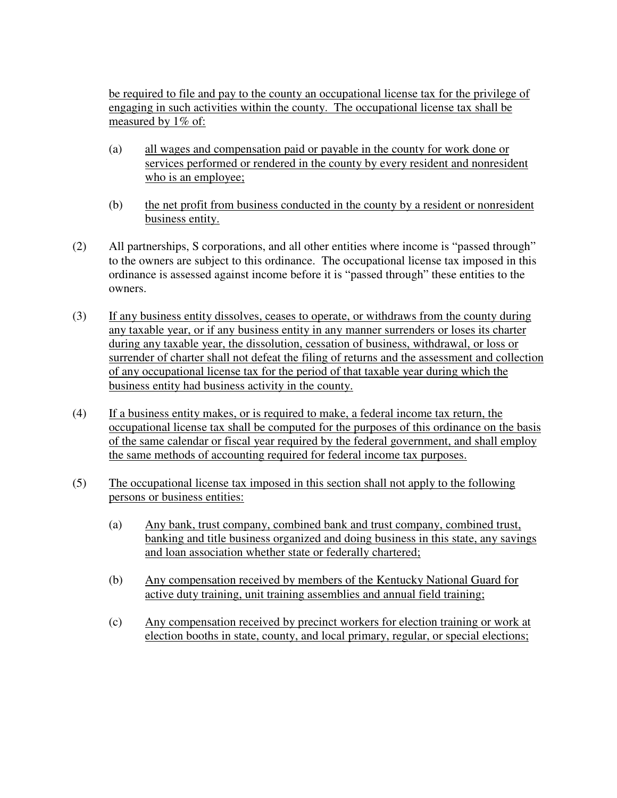be required to file and pay to the county an occupational license tax for the privilege of engaging in such activities within the county. The occupational license tax shall be measured by 1% of:

- (a) all wages and compensation paid or payable in the county for work done or services performed or rendered in the county by every resident and nonresident who is an employee;
- (b) the net profit from business conducted in the county by a resident or nonresident business entity.
- (2) All partnerships, S corporations, and all other entities where income is "passed through" to the owners are subject to this ordinance. The occupational license tax imposed in this ordinance is assessed against income before it is "passed through" these entities to the owners.
- (3) If any business entity dissolves, ceases to operate, or withdraws from the county during any taxable year, or if any business entity in any manner surrenders or loses its charter during any taxable year, the dissolution, cessation of business, withdrawal, or loss or surrender of charter shall not defeat the filing of returns and the assessment and collection of any occupational license tax for the period of that taxable year during which the business entity had business activity in the county.
- (4) If a business entity makes, or is required to make, a federal income tax return, the occupational license tax shall be computed for the purposes of this ordinance on the basis of the same calendar or fiscal year required by the federal government, and shall employ the same methods of accounting required for federal income tax purposes.
- (5) The occupational license tax imposed in this section shall not apply to the following persons or business entities:
	- (a) Any bank, trust company, combined bank and trust company, combined trust, banking and title business organized and doing business in this state, any savings and loan association whether state or federally chartered;
	- (b) Any compensation received by members of the Kentucky National Guard for active duty training, unit training assemblies and annual field training;
	- (c) Any compensation received by precinct workers for election training or work at election booths in state, county, and local primary, regular, or special elections;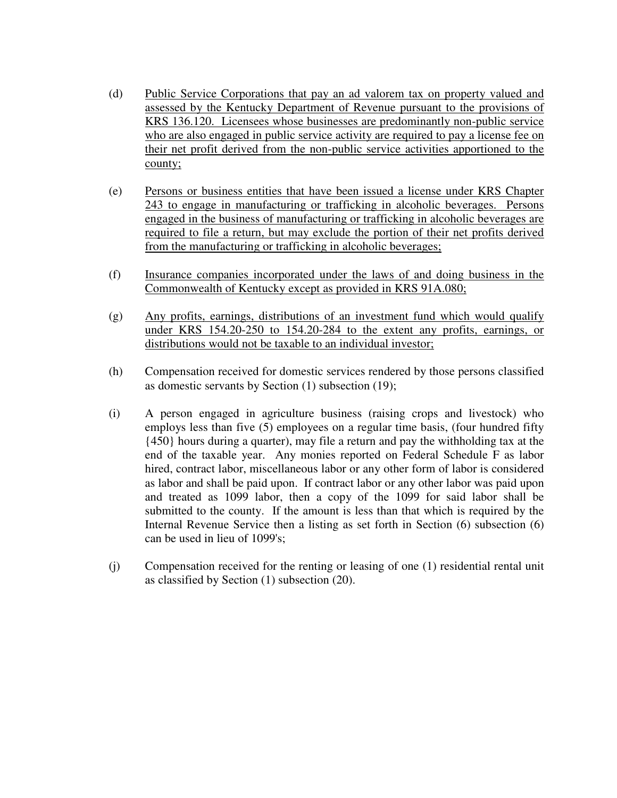- (d) Public Service Corporations that pay an ad valorem tax on property valued and assessed by the Kentucky Department of Revenue pursuant to the provisions of KRS 136.120. Licensees whose businesses are predominantly non-public service who are also engaged in public service activity are required to pay a license fee on their net profit derived from the non-public service activities apportioned to the county;
- (e) Persons or business entities that have been issued a license under KRS Chapter 243 to engage in manufacturing or trafficking in alcoholic beverages. Persons engaged in the business of manufacturing or trafficking in alcoholic beverages are required to file a return, but may exclude the portion of their net profits derived from the manufacturing or trafficking in alcoholic beverages;
- (f) Insurance companies incorporated under the laws of and doing business in the Commonwealth of Kentucky except as provided in KRS 91A.080;
- (g) Any profits, earnings, distributions of an investment fund which would qualify under KRS 154.20-250 to 154.20-284 to the extent any profits, earnings, or distributions would not be taxable to an individual investor;
- (h) Compensation received for domestic services rendered by those persons classified as domestic servants by Section (1) subsection (19);
- (i) A person engaged in agriculture business (raising crops and livestock) who employs less than five (5) employees on a regular time basis, (four hundred fifty {450} hours during a quarter), may file a return and pay the withholding tax at the end of the taxable year. Any monies reported on Federal Schedule F as labor hired, contract labor, miscellaneous labor or any other form of labor is considered as labor and shall be paid upon. If contract labor or any other labor was paid upon and treated as 1099 labor, then a copy of the 1099 for said labor shall be submitted to the county. If the amount is less than that which is required by the Internal Revenue Service then a listing as set forth in Section (6) subsection (6) can be used in lieu of 1099's;
- (j) Compensation received for the renting or leasing of one (1) residential rental unit as classified by Section (1) subsection (20).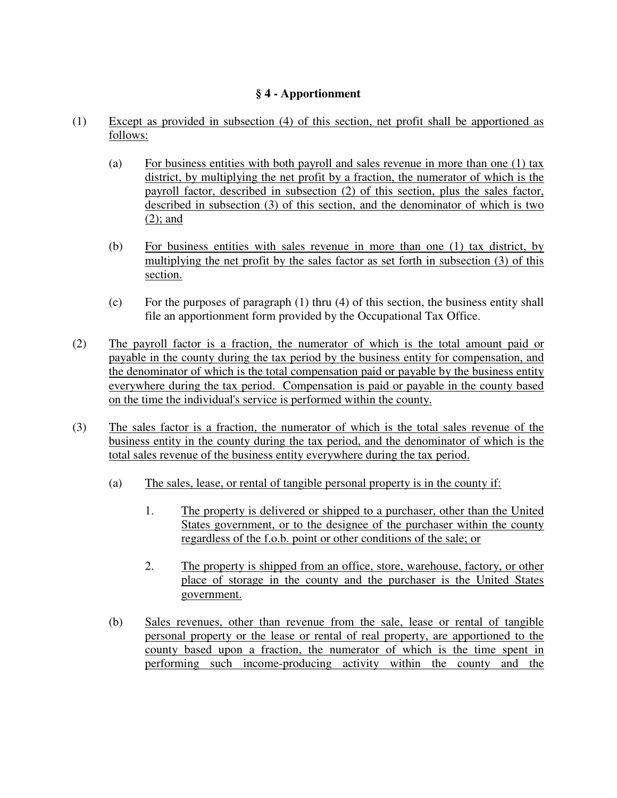## **§ 4 - Apportionment**

- (1) Except as provided in subsection (4) of this section, net profit shall be apportioned as follows:
	- (a) For business entities with both payroll and sales revenue in more than one (1) tax district, by multiplying the net profit by a fraction, the numerator of which is the payroll factor, described in subsection (2) of this section, plus the sales factor, described in subsection (3) of this section, and the denominator of which is two (2); and
	- (b) For business entities with sales revenue in more than one (1) tax district, by multiplying the net profit by the sales factor as set forth in subsection (3) of this section.
	- (c) For the purposes of paragraph (1) thru (4) of this section, the business entity shall file an apportionment form provided by the Occupational Tax Office.
- (2) The payroll factor is a fraction, the numerator of which is the total amount paid or payable in the county during the tax period by the business entity for compensation, and the denominator of which is the total compensation paid or payable by the business entity everywhere during the tax period. Compensation is paid or payable in the county based on the time the individual's service is performed within the county.
- (3) The sales factor is a fraction, the numerator of which is the total sales revenue of the business entity in the county during the tax period, and the denominator of which is the total sales revenue of the business entity everywhere during the tax period.
	- (a) The sales, lease, or rental of tangible personal property is in the county if:
		- 1. The property is delivered or shipped to a purchaser, other than the United States government, or to the designee of the purchaser within the county regardless of the f.o.b. point or other conditions of the sale; or
		- 2. The property is shipped from an office, store, warehouse, factory, or other place of storage in the county and the purchaser is the United States government.
	- (b) Sales revenues, other than revenue from the sale, lease or rental of tangible personal property or the lease or rental of real property, are apportioned to the county based upon a fraction, the numerator of which is the time spent in performing such income-producing activity within the county and the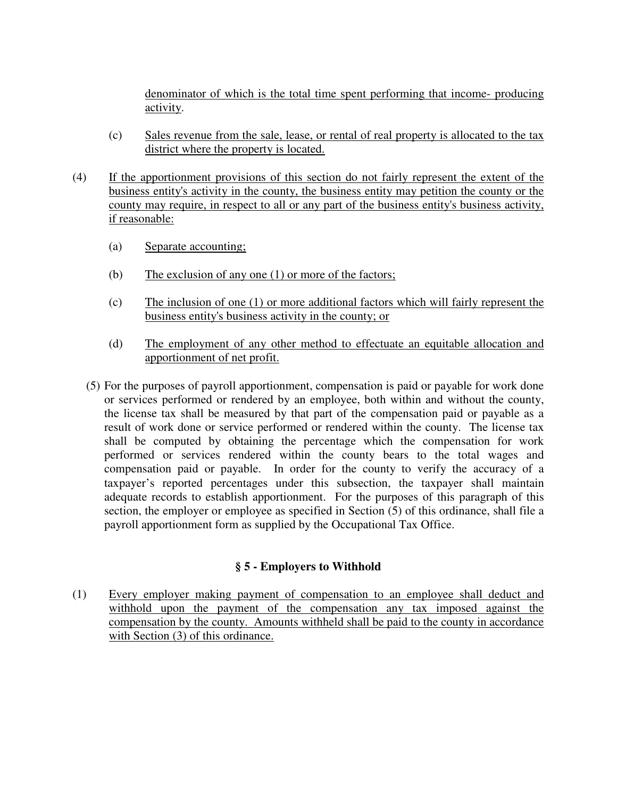denominator of which is the total time spent performing that income- producing activity.

- (c) Sales revenue from the sale, lease, or rental of real property is allocated to the tax district where the property is located.
- (4) If the apportionment provisions of this section do not fairly represent the extent of the business entity's activity in the county, the business entity may petition the county or the county may require, in respect to all or any part of the business entity's business activity, if reasonable:
	- (a) Separate accounting;
	- (b) The exclusion of any one (1) or more of the factors;
	- (c) The inclusion of one (1) or more additional factors which will fairly represent the business entity's business activity in the county; or
	- (d) The employment of any other method to effectuate an equitable allocation and apportionment of net profit.
	- (5) For the purposes of payroll apportionment, compensation is paid or payable for work done or services performed or rendered by an employee, both within and without the county, the license tax shall be measured by that part of the compensation paid or payable as a result of work done or service performed or rendered within the county. The license tax shall be computed by obtaining the percentage which the compensation for work performed or services rendered within the county bears to the total wages and compensation paid or payable. In order for the county to verify the accuracy of a taxpayer's reported percentages under this subsection, the taxpayer shall maintain adequate records to establish apportionment. For the purposes of this paragraph of this section, the employer or employee as specified in Section (5) of this ordinance, shall file a payroll apportionment form as supplied by the Occupational Tax Office.

## **§ 5 - Employers to Withhold**

(1) Every employer making payment of compensation to an employee shall deduct and withhold upon the payment of the compensation any tax imposed against the compensation by the county. Amounts withheld shall be paid to the county in accordance with Section (3) of this ordinance.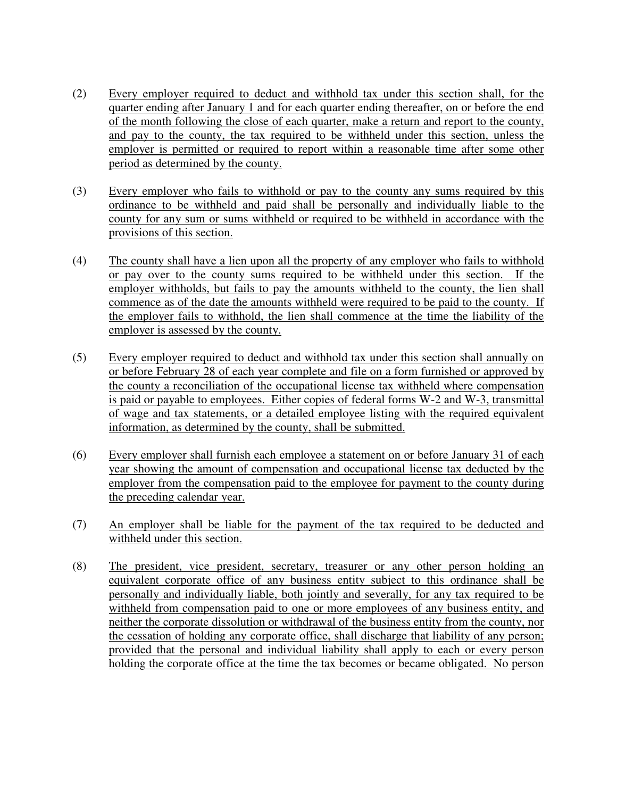- (2)Every employer required to deduct and withhold tax under this section shall, for the quarter ending after January 1 and for each quarter ending thereafter, on or before the end of the month following the close of each quarter, make a return and report to the county, and pay to the county, the tax required to be withheld under this section, unless the employer is permitted or required to report within a reasonable time after some other period as determined by the county.
- (3) Every employer who fails to withhold or pay to the county any sums required by this ordinance to be withheld and paid shall be personally and individually liable to the county for any sum or sums withheld or required to be withheld in accordance with the provisions of this section.
- (4) The county shall have a lien upon all the property of any employer who fails to withhold or pay over to the county sums required to be withheld under this section. If the employer withholds, but fails to pay the amounts withheld to the county, the lien shall commence as of the date the amounts withheld were required to be paid to the county. If the employer fails to withhold, the lien shall commence at the time the liability of the employer is assessed by the county.
- (5) Every employer required to deduct and withhold tax under this section shall annually on or before February 28 of each year complete and file on a form furnished or approved by the county a reconciliation of the occupational license tax withheld where compensation is paid or payable to employees. Either copies of federal forms W-2 and W-3, transmittal of wage and tax statements, or a detailed employee listing with the required equivalent information, as determined by the county, shall be submitted.
- (6) Every employer shall furnish each employee a statement on or before January 31 of each year showing the amount of compensation and occupational license tax deducted by the employer from the compensation paid to the employee for payment to the county during the preceding calendar year.
- (7) An employer shall be liable for the payment of the tax required to be deducted and withheld under this section.
- (8) The president, vice president, secretary, treasurer or any other person holding an equivalent corporate office of any business entity subject to this ordinance shall be personally and individually liable, both jointly and severally, for any tax required to be withheld from compensation paid to one or more employees of any business entity, and neither the corporate dissolution or withdrawal of the business entity from the county, nor the cessation of holding any corporate office, shall discharge that liability of any person; provided that the personal and individual liability shall apply to each or every person holding the corporate office at the time the tax becomes or became obligated. No person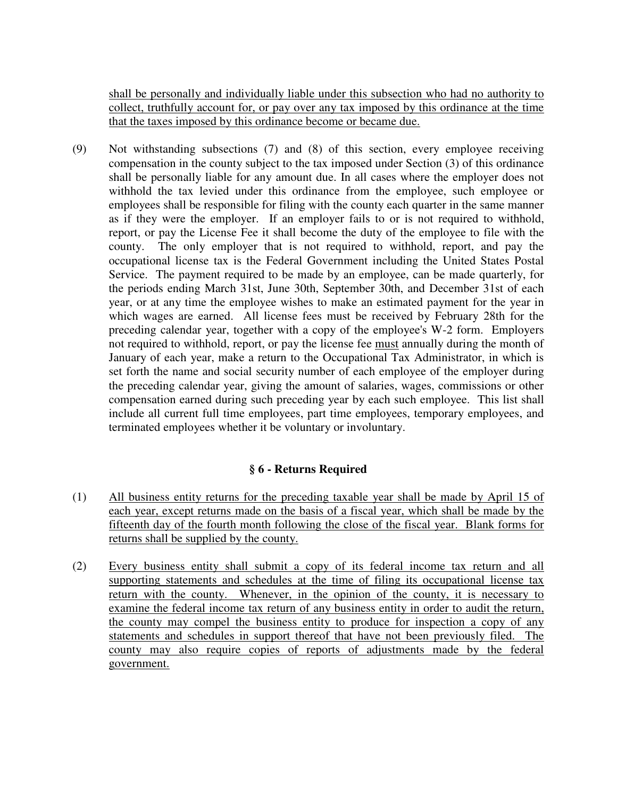shall be personally and individually liable under this subsection who had no authority to collect, truthfully account for, or pay over any tax imposed by this ordinance at the time that the taxes imposed by this ordinance become or became due.

(9) Not withstanding subsections (7) and (8) of this section, every employee receiving compensation in the county subject to the tax imposed under Section (3) of this ordinance shall be personally liable for any amount due. In all cases where the employer does not withhold the tax levied under this ordinance from the employee, such employee or employees shall be responsible for filing with the county each quarter in the same manner as if they were the employer. If an employer fails to or is not required to withhold, report, or pay the License Fee it shall become the duty of the employee to file with the county. The only employer that is not required to withhold, report, and pay the occupational license tax is the Federal Government including the United States Postal Service. The payment required to be made by an employee, can be made quarterly, for the periods ending March 31st, June 30th, September 30th, and December 31st of each year, or at any time the employee wishes to make an estimated payment for the year in which wages are earned. All license fees must be received by February 28th for the preceding calendar year, together with a copy of the employee's W-2 form. Employers not required to withhold, report, or pay the license fee must annually during the month of January of each year, make a return to the Occupational Tax Administrator, in which is set forth the name and social security number of each employee of the employer during the preceding calendar year, giving the amount of salaries, wages, commissions or other compensation earned during such preceding year by each such employee. This list shall include all current full time employees, part time employees, temporary employees, and terminated employees whether it be voluntary or involuntary.

## **§ 6 - Returns Required**

- (1) All business entity returns for the preceding taxable year shall be made by April 15 of each year, except returns made on the basis of a fiscal year, which shall be made by the fifteenth day of the fourth month following the close of the fiscal year. Blank forms for returns shall be supplied by the county.
- (2) Every business entity shall submit a copy of its federal income tax return and all supporting statements and schedules at the time of filing its occupational license tax return with the county. Whenever, in the opinion of the county, it is necessary to examine the federal income tax return of any business entity in order to audit the return, the county may compel the business entity to produce for inspection a copy of any statements and schedules in support thereof that have not been previously filed. The county may also require copies of reports of adjustments made by the federal government.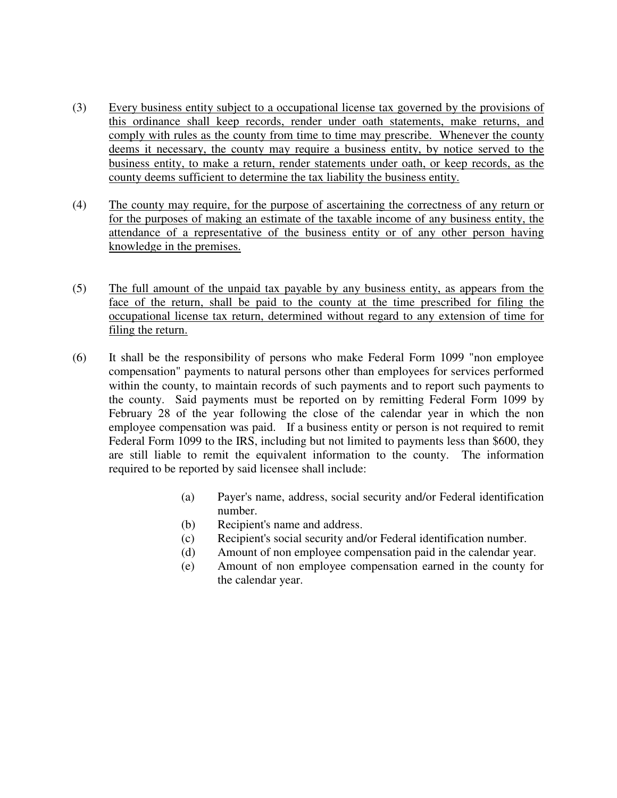- (3) Every business entity subject to a occupational license tax governed by the provisions of this ordinance shall keep records, render under oath statements, make returns, and comply with rules as the county from time to time may prescribe. Whenever the county deems it necessary, the county may require a business entity, by notice served to the business entity, to make a return, render statements under oath, or keep records, as the county deems sufficient to determine the tax liability the business entity.
- (4) The county may require, for the purpose of ascertaining the correctness of any return or for the purposes of making an estimate of the taxable income of any business entity, the attendance of a representative of the business entity or of any other person having knowledge in the premises.
- (5) The full amount of the unpaid tax payable by any business entity, as appears from the face of the return, shall be paid to the county at the time prescribed for filing the occupational license tax return, determined without regard to any extension of time for filing the return.
- (6) It shall be the responsibility of persons who make Federal Form 1099 "non employee compensation" payments to natural persons other than employees for services performed within the county, to maintain records of such payments and to report such payments to the county. Said payments must be reported on by remitting Federal Form 1099 by February 28 of the year following the close of the calendar year in which the non employee compensation was paid. If a business entity or person is not required to remit Federal Form 1099 to the IRS, including but not limited to payments less than \$600, they are still liable to remit the equivalent information to the county. The information required to be reported by said licensee shall include:
	- (a) Payer's name, address, social security and/or Federal identification number.
	- (b) Recipient's name and address.
	- (c) Recipient's social security and/or Federal identification number.
	- (d) Amount of non employee compensation paid in the calendar year.
	- (e) Amount of non employee compensation earned in the county for the calendar year.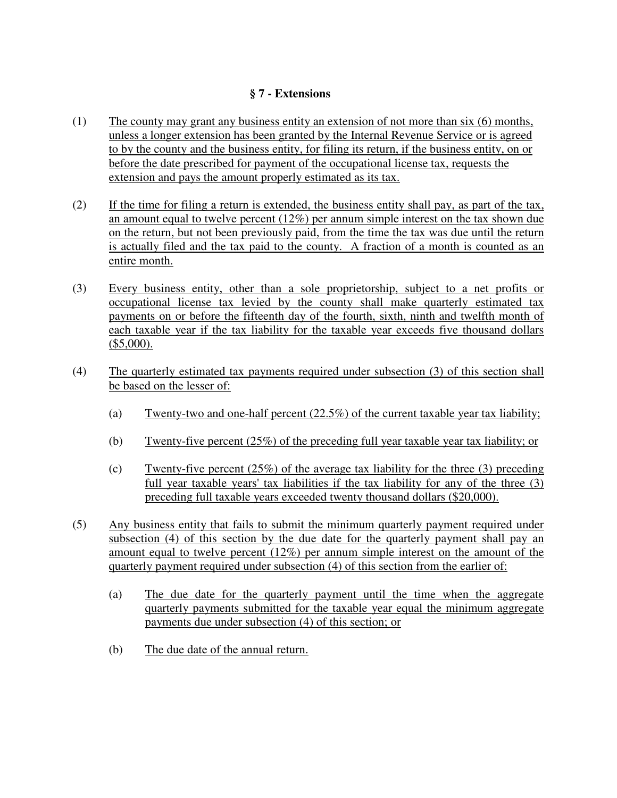## **§ 7 - Extensions**

- (1) The county may grant any business entity an extension of not more than six (6) months, unless a longer extension has been granted by the Internal Revenue Service or is agreed to by the county and the business entity, for filing its return, if the business entity, on or before the date prescribed for payment of the occupational license tax, requests the extension and pays the amount properly estimated as its tax.
- (2) If the time for filing a return is extended, the business entity shall pay, as part of the tax, an amount equal to twelve percent (12%) per annum simple interest on the tax shown due on the return, but not been previously paid, from the time the tax was due until the return is actually filed and the tax paid to the county. A fraction of a month is counted as an entire month.
- (3) Every business entity, other than a sole proprietorship, subject to a net profits or occupational license tax levied by the county shall make quarterly estimated tax payments on or before the fifteenth day of the fourth, sixth, ninth and twelfth month of each taxable year if the tax liability for the taxable year exceeds five thousand dollars  $($5,000).$
- (4) The quarterly estimated tax payments required under subsection (3) of this section shall be based on the lesser of:
	- (a) Twenty-two and one-half percent (22.5%) of the current taxable year tax liability;
	- (b) Twenty-five percent (25%) of the preceding full year taxable year tax liability; or
	- (c) Twenty-five percent  $(25%)$  of the average tax liability for the three (3) preceding full year taxable years' tax liabilities if the tax liability for any of the three (3) preceding full taxable years exceeded twenty thousand dollars (\$20,000).
- (5) Any business entity that fails to submit the minimum quarterly payment required under subsection (4) of this section by the due date for the quarterly payment shall pay an amount equal to twelve percent (12%) per annum simple interest on the amount of the quarterly payment required under subsection (4) of this section from the earlier of:
	- (a) The due date for the quarterly payment until the time when the aggregate quarterly payments submitted for the taxable year equal the minimum aggregate payments due under subsection (4) of this section; or
	- (b) The due date of the annual return.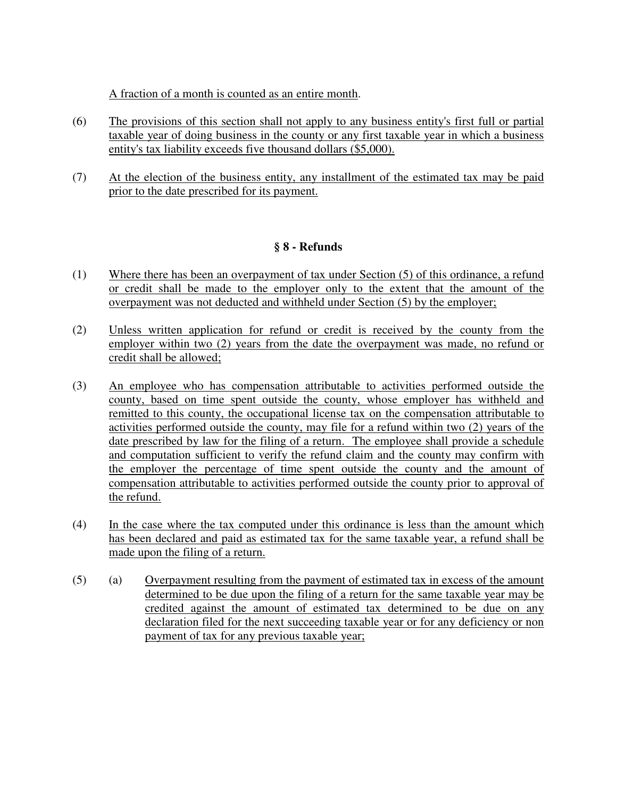A fraction of a month is counted as an entire month.

- (6) The provisions of this section shall not apply to any business entity's first full or partial taxable year of doing business in the county or any first taxable year in which a business entity's tax liability exceeds five thousand dollars (\$5,000).
- (7) At the election of the business entity, any installment of the estimated tax may be paid prior to the date prescribed for its payment.

## **§ 8 - Refunds**

- (1) Where there has been an overpayment of tax under Section (5) of this ordinance, a refund or credit shall be made to the employer only to the extent that the amount of the overpayment was not deducted and withheld under Section (5) by the employer;
- (2) Unless written application for refund or credit is received by the county from the employer within two (2) years from the date the overpayment was made, no refund or credit shall be allowed;
- (3) An employee who has compensation attributable to activities performed outside the county, based on time spent outside the county, whose employer has withheld and remitted to this county, the occupational license tax on the compensation attributable to activities performed outside the county, may file for a refund within two (2) years of the date prescribed by law for the filing of a return. The employee shall provide a schedule and computation sufficient to verify the refund claim and the county may confirm with the employer the percentage of time spent outside the county and the amount of compensation attributable to activities performed outside the county prior to approval of the refund.
- (4) In the case where the tax computed under this ordinance is less than the amount which has been declared and paid as estimated tax for the same taxable year, a refund shall be made upon the filing of a return.
- (5) (a) Overpayment resulting from the payment of estimated tax in excess of the amount determined to be due upon the filing of a return for the same taxable year may be credited against the amount of estimated tax determined to be due on any declaration filed for the next succeeding taxable year or for any deficiency or non payment of tax for any previous taxable year;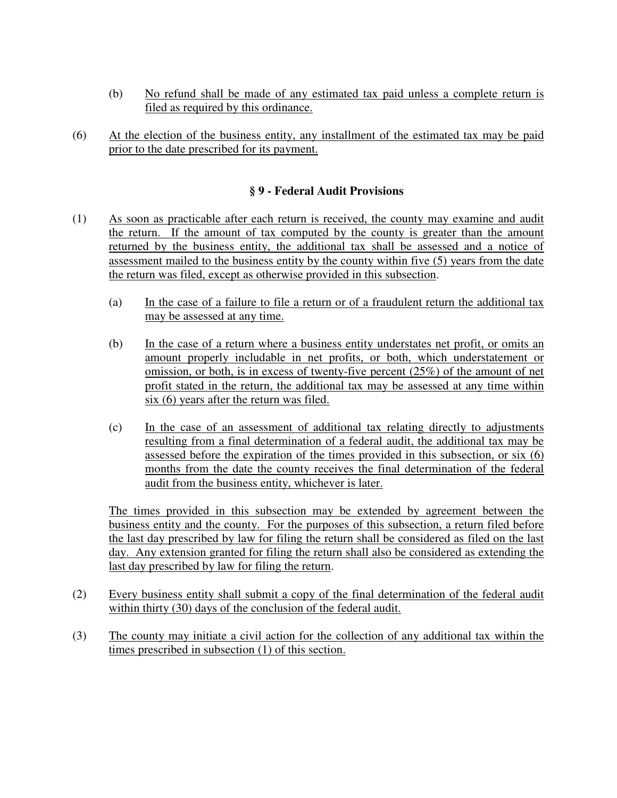- (b) No refund shall be made of any estimated tax paid unless a complete return is filed as required by this ordinance.
- (6) At the election of the business entity, any installment of the estimated tax may be paid prior to the date prescribed for its payment.

## **§ 9 - Federal Audit Provisions**

- (1) As soon as practicable after each return is received, the county may examine and audit the return. If the amount of tax computed by the county is greater than the amount returned by the business entity, the additional tax shall be assessed and a notice of assessment mailed to the business entity by the county within five (5) years from the date the return was filed, except as otherwise provided in this subsection.
	- (a) In the case of a failure to file a return or of a fraudulent return the additional tax may be assessed at any time.
	- (b) In the case of a return where a business entity understates net profit, or omits an amount properly includable in net profits, or both, which understatement or omission, or both, is in excess of twenty-five percent (25%) of the amount of net profit stated in the return, the additional tax may be assessed at any time within six (6) years after the return was filed.
	- (c) In the case of an assessment of additional tax relating directly to adjustments resulting from a final determination of a federal audit, the additional tax may be assessed before the expiration of the times provided in this subsection, or six (6) months from the date the county receives the final determination of the federal audit from the business entity, whichever is later.

The times provided in this subsection may be extended by agreement between the business entity and the county. For the purposes of this subsection, a return filed before the last day prescribed by law for filing the return shall be considered as filed on the last day. Any extension granted for filing the return shall also be considered as extending the last day prescribed by law for filing the return.

- (2) Every business entity shall submit a copy of the final determination of the federal audit within thirty (30) days of the conclusion of the federal audit.
- (3) The county may initiate a civil action for the collection of any additional tax within the times prescribed in subsection (1) of this section.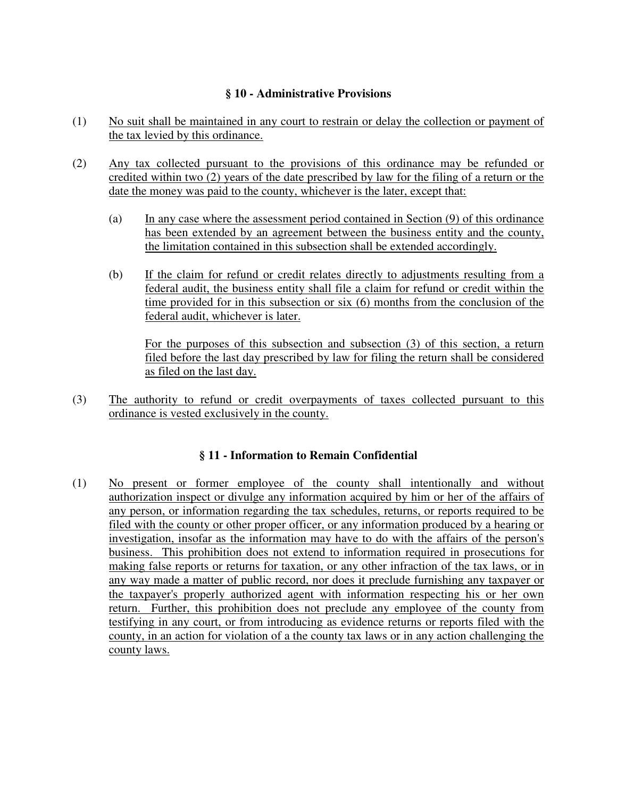## **§ 10 - Administrative Provisions**

- (1)No suit shall be maintained in any court to restrain or delay the collection or payment of the tax levied by this ordinance.
- (2) Any tax collected pursuant to the provisions of this ordinance may be refunded or credited within two (2) years of the date prescribed by law for the filing of a return or the date the money was paid to the county, whichever is the later, except that:
	- (a) In any case where the assessment period contained in Section (9) of this ordinance has been extended by an agreement between the business entity and the county, the limitation contained in this subsection shall be extended accordingly.
	- (b) If the claim for refund or credit relates directly to adjustments resulting from a federal audit, the business entity shall file a claim for refund or credit within the time provided for in this subsection or six (6) months from the conclusion of the federal audit, whichever is later.

For the purposes of this subsection and subsection (3) of this section, a return filed before the last day prescribed by law for filing the return shall be considered as filed on the last day.

 (3) The authority to refund or credit overpayments of taxes collected pursuant to this ordinance is vested exclusively in the county.

## **§ 11 - Information to Remain Confidential**

(1) No present or former employee of the county shall intentionally and without authorization inspect or divulge any information acquired by him or her of the affairs of any person, or information regarding the tax schedules, returns, or reports required to be filed with the county or other proper officer, or any information produced by a hearing or investigation, insofar as the information may have to do with the affairs of the person's business. This prohibition does not extend to information required in prosecutions for making false reports or returns for taxation, or any other infraction of the tax laws, or in any way made a matter of public record, nor does it preclude furnishing any taxpayer or the taxpayer's properly authorized agent with information respecting his or her own return. Further, this prohibition does not preclude any employee of the county from testifying in any court, or from introducing as evidence returns or reports filed with the county, in an action for violation of a the county tax laws or in any action challenging the county laws.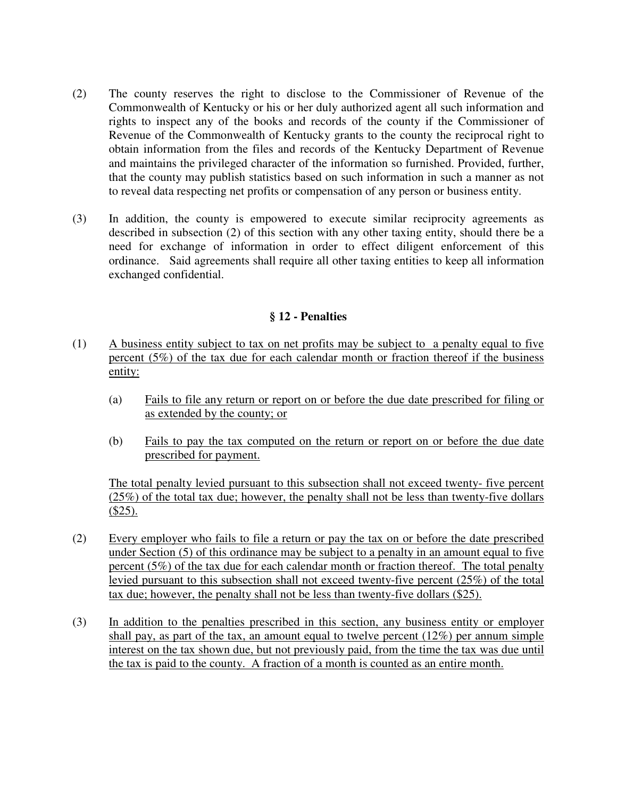- (2) The county reserves the right to disclose to the Commissioner of Revenue of the Commonwealth of Kentucky or his or her duly authorized agent all such information and rights to inspect any of the books and records of the county if the Commissioner of Revenue of the Commonwealth of Kentucky grants to the county the reciprocal right to obtain information from the files and records of the Kentucky Department of Revenue and maintains the privileged character of the information so furnished. Provided, further, that the county may publish statistics based on such information in such a manner as not to reveal data respecting net profits or compensation of any person or business entity.
- (3) In addition, the county is empowered to execute similar reciprocity agreements as described in subsection (2) of this section with any other taxing entity, should there be a need for exchange of information in order to effect diligent enforcement of this ordinance. Said agreements shall require all other taxing entities to keep all information exchanged confidential.

#### **§ 12 - Penalties**

- (1) A business entity subject to tax on net profits may be subject to a penalty equal to five percent (5%) of the tax due for each calendar month or fraction thereof if the business entity:
	- (a) Fails to file any return or report on or before the due date prescribed for filing or as extended by the county; or
	- (b) Fails to pay the tax computed on the return or report on or before the due date prescribed for payment.

 The total penalty levied pursuant to this subsection shall not exceed twenty- five percent (25%) of the total tax due; however, the penalty shall not be less than twenty-five dollars  $($25)$ .

- (2) Every employer who fails to file a return or pay the tax on or before the date prescribed under Section (5) of this ordinance may be subject to a penalty in an amount equal to five percent (5%) of the tax due for each calendar month or fraction thereof. The total penalty levied pursuant to this subsection shall not exceed twenty-five percent (25%) of the total tax due; however, the penalty shall not be less than twenty-five dollars (\$25).
- (3) In addition to the penalties prescribed in this section, any business entity or employer shall pay, as part of the tax, an amount equal to twelve percent (12%) per annum simple interest on the tax shown due, but not previously paid, from the time the tax was due until the tax is paid to the county. A fraction of a month is counted as an entire month.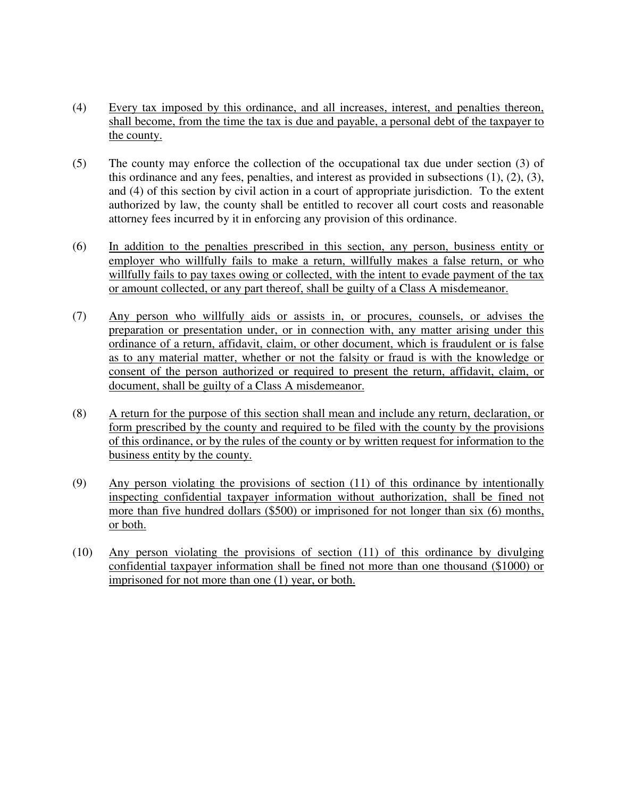- (4) Every tax imposed by this ordinance, and all increases, interest, and penalties thereon, shall become, from the time the tax is due and payable, a personal debt of the taxpayer to the county.
- (5) The county may enforce the collection of the occupational tax due under section (3) of this ordinance and any fees, penalties, and interest as provided in subsections (1), (2), (3), and (4) of this section by civil action in a court of appropriate jurisdiction. To the extent authorized by law, the county shall be entitled to recover all court costs and reasonable attorney fees incurred by it in enforcing any provision of this ordinance.
- (6) In addition to the penalties prescribed in this section, any person, business entity or employer who willfully fails to make a return, willfully makes a false return, or who willfully fails to pay taxes owing or collected, with the intent to evade payment of the tax or amount collected, or any part thereof, shall be guilty of a Class A misdemeanor.
- (7) Any person who willfully aids or assists in, or procures, counsels, or advises the preparation or presentation under, or in connection with, any matter arising under this ordinance of a return, affidavit, claim, or other document, which is fraudulent or is false as to any material matter, whether or not the falsity or fraud is with the knowledge or consent of the person authorized or required to present the return, affidavit, claim, or document, shall be guilty of a Class A misdemeanor.
- (8) A return for the purpose of this section shall mean and include any return, declaration, or form prescribed by the county and required to be filed with the county by the provisions of this ordinance, or by the rules of the county or by written request for information to the business entity by the county.
- (9) Any person violating the provisions of section (11) of this ordinance by intentionally inspecting confidential taxpayer information without authorization, shall be fined not more than five hundred dollars (\$500) or imprisoned for not longer than six (6) months, or both.
- (10) Any person violating the provisions of section (11) of this ordinance by divulging confidential taxpayer information shall be fined not more than one thousand (\$1000) or imprisoned for not more than one (1) year, or both.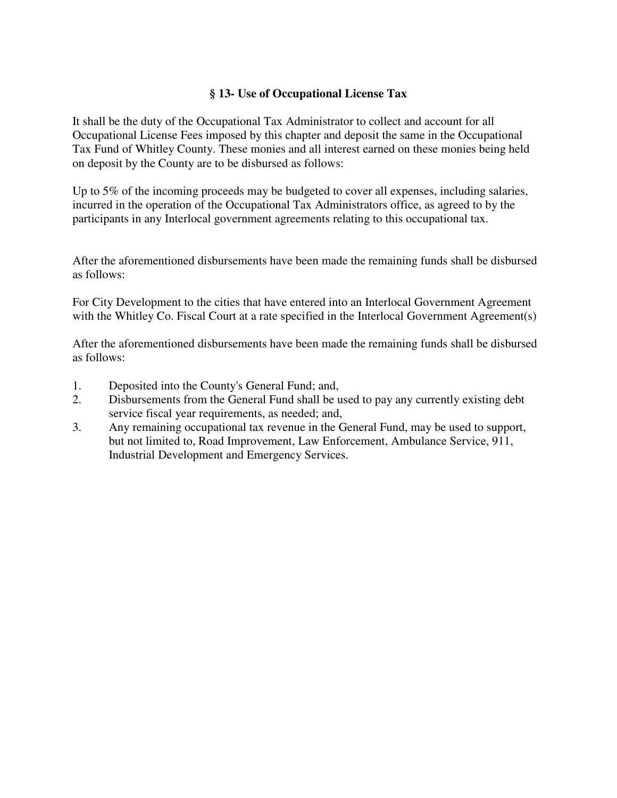## **§ 13- Use of Occupational License Tax**

It shall be the duty of the Occupational Tax Administrator to collect and account for all Occupational License Fees imposed by this chapter and deposit the same in the Occupational Tax Fund of Whitley County. These monies and all interest earned on these monies being held on deposit by the County are to be disbursed as follows:

Up to 5% of the incoming proceeds may be budgeted to cover all expenses, including salaries, incurred in the operation of the Occupational Tax Administrators office, as agreed to by the participants in any Interlocal government agreements relating to this occupational tax.

After the aforementioned disbursements have been made the remaining funds shall be disbursed as follows:

For City Development to the cities that have entered into an Interlocal Government Agreement with the Whitley Co. Fiscal Court at a rate specified in the Interlocal Government Agreement(s)

After the aforementioned disbursements have been made the remaining funds shall be disbursed as follows:

- 1. Deposited into the County's General Fund; and,
- 2. Disbursements from the General Fund shall be used to pay any currently existing debt service fiscal year requirements, as needed; and,
- 3. Any remaining occupational tax revenue in the General Fund, may be used to support, but not limited to, Road Improvement, Law Enforcement, Ambulance Service, 911, Industrial Development and Emergency Services.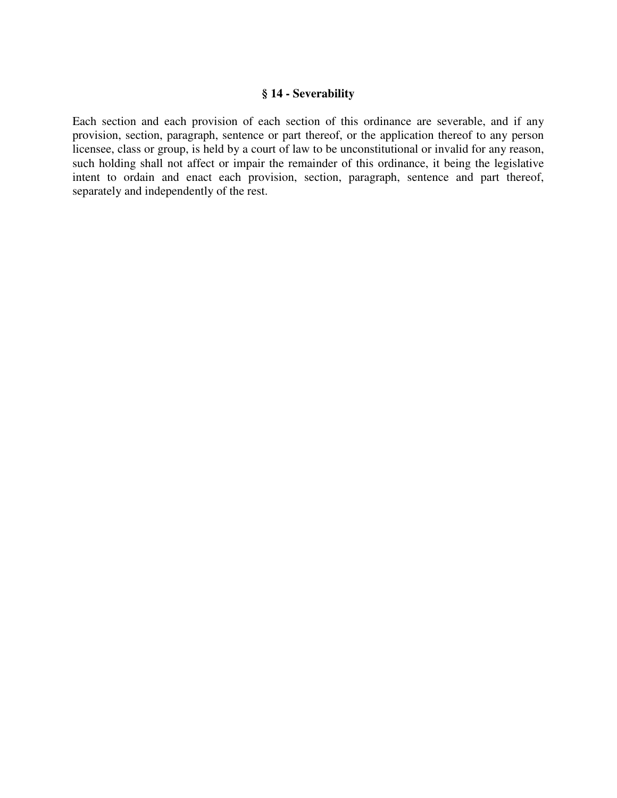#### **§ 14 - Severability**

Each section and each provision of each section of this ordinance are severable, and if any provision, section, paragraph, sentence or part thereof, or the application thereof to any person licensee, class or group, is held by a court of law to be unconstitutional or invalid for any reason, such holding shall not affect or impair the remainder of this ordinance, it being the legislative intent to ordain and enact each provision, section, paragraph, sentence and part thereof, separately and independently of the rest.